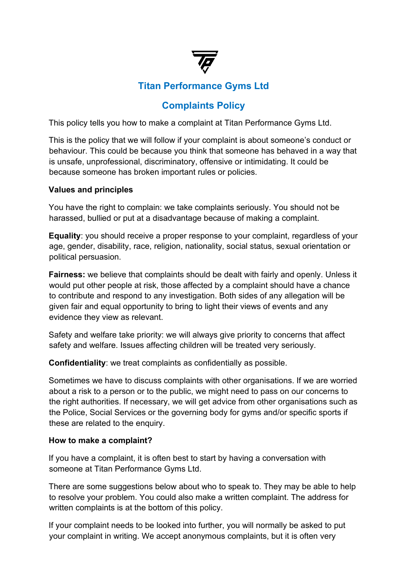

## **Titan Performance Gyms Ltd**

# **Complaints Policy**

This policy tells you how to make a complaint at Titan Performance Gyms Ltd.

This is the policy that we will follow if your complaint is about someone's conduct or behaviour. This could be because you think that someone has behaved in a way that is unsafe, unprofessional, discriminatory, offensive or intimidating. It could be because someone has broken important rules or policies.

#### **Values and principles**

You have the right to complain: we take complaints seriously. You should not be harassed, bullied or put at a disadvantage because of making a complaint.

**Equality**: you should receive a proper response to your complaint, regardless of your age, gender, disability, race, religion, nationality, social status, sexual orientation or political persuasion.

**Fairness:** we believe that complaints should be dealt with fairly and openly. Unless it would put other people at risk, those affected by a complaint should have a chance to contribute and respond to any investigation. Both sides of any allegation will be given fair and equal opportunity to bring to light their views of events and any evidence they view as relevant.

Safety and welfare take priority: we will always give priority to concerns that affect safety and welfare. Issues affecting children will be treated very seriously.

**Confidentiality**: we treat complaints as confidentially as possible.

Sometimes we have to discuss complaints with other organisations. If we are worried about a risk to a person or to the public, we might need to pass on our concerns to the right authorities. If necessary, we will get advice from other organisations such as the Police, Social Services or the governing body for gyms and/or specific sports if these are related to the enquiry.

#### **How to make a complaint?**

If you have a complaint, it is often best to start by having a conversation with someone at Titan Performance Gyms Ltd.

There are some suggestions below about who to speak to. They may be able to help to resolve your problem. You could also make a written complaint. The address for written complaints is at the bottom of this policy.

If your complaint needs to be looked into further, you will normally be asked to put your complaint in writing. We accept anonymous complaints, but it is often very